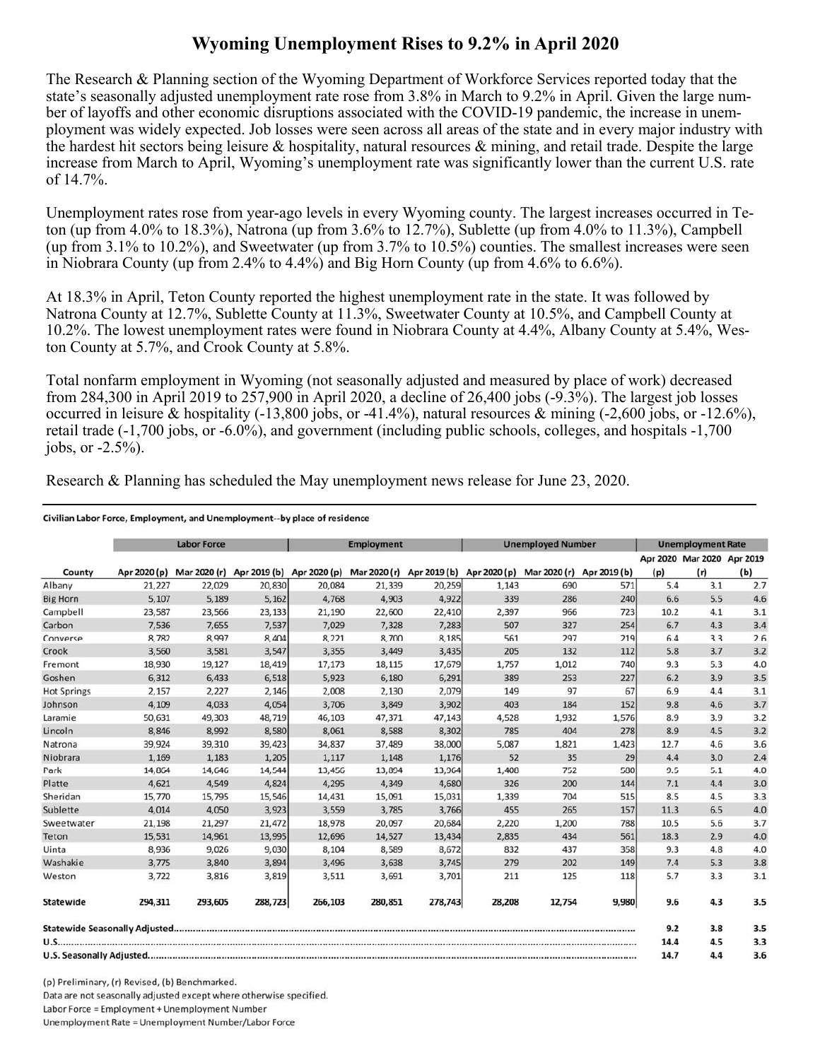## **Wyoming Unemployment Rises to 9.2% in April 2020**

The Research & Planning section of the Wyoming Department of Workforce Services reported today that the state's seasonally adjusted unemployment rate rose from 3.8% in March to 9.2% in April. Given the large number of layoffs and other economic disruptions associated with the COVID-19 pandemic, the increase in unemployment was widely expected. Job losses were seen across all areas of the state and in every major industry with the hardest hit sectors being leisure & hospitality, natural resources & mining, and retail trade. Despite the large increase from March to April, Wyoming's unemployment rate was significantly lower than the current U.S. rate of 14.7%.

Unemployment rates rose from year-ago levels in every Wyoming county. The largest increases occurred in Teton (up from 4.0% to 18.3%), Natrona (up from 3.6% to 12.7%), Sublette (up from 4.0% to 11.3%), Campbell (up from 3.1% to 10.2%), and Sweetwater (up from 3.7% to 10.5%) counties. The smallest increases were seen in Niobrara County (up from 2.4% to 4.4%) and Big Horn County (up from 4.6% to 6.6%).

At 18.3% in April, Teton County reported the highest unemployment rate in the state. It was followed by Natrona County at 12.7%, Sublette County at 11.3%, Sweetwater County at 10.5%, and Campbell County at 10.2%. The lowest unemployment rates were found in Niobrara County at 4.4%, Albany County at 5.4%, Weston County at 5.7%, and Crook County at 5.8%.

Total nonfarm employment in Wyoming (not seasonally adjusted and measured by place of work) decreased from 284,300 in April 2019 to 257,900 in April 2020, a decline of 26,400 jobs (-9.3%). The largest job losses occurred in leisure & hospitality (-13,800 jobs, or -41.4%), natural resources & mining (-2,600 jobs, or -12.6%), retail trade (-1,700 jobs, or -6.0%), and government (including public schools, colleges, and hospitals -1,700 jobs, or  $-2.5\%$ ).

Research & Planning has scheduled the May unemployment news release for June 23, 2020.

## Civilian Labor Force, Employment, and Unemployment--by place of residence

|                    | <b>Labor Force</b> |         |         | <b>Employment</b>                                                             |         |         | <b>Unemployed Number</b> |              |              | <b>Unemployment Rate</b> |                            |     |
|--------------------|--------------------|---------|---------|-------------------------------------------------------------------------------|---------|---------|--------------------------|--------------|--------------|--------------------------|----------------------------|-----|
|                    |                    |         |         |                                                                               |         |         |                          |              |              |                          | Apr 2020 Mar 2020 Apr 2019 |     |
| County             | Apr 2020 (p)       |         |         | Mar 2020 (r) Apr 2019 (b) Apr 2020 (p) Mar 2020 (r) Apr 2019 (b) Apr 2020 (p) |         |         |                          | Mar 2020 (r) | Apr 2019 (b) | (p)                      | (r)                        | (b) |
| Albany             | 21,227             | 22,029  | 20,830  | 20,084                                                                        | 21,339  | 20,259  | 1,143                    | 690          | 571          | 5.4                      | 3.1                        | 2.7 |
| <b>Big Horn</b>    | 5,107              | 5,189   | 5,162   | 4,768                                                                         | 4,903   | 4,922   | 339                      | 286          | 240          | 6.6                      | 5.5                        | 4.6 |
| Campbell           | 23,587             | 23,566  | 23,133  | 21,190                                                                        | 22,600  | 22,410  | 2,397                    | 966          | 723          | 10.2                     | 4.1                        | 3.1 |
| Carbon             | 7,536              | 7,655   | 7,537   | 7,029                                                                         | 7,328   | 7,283   | 507                      | 327          | 254          | 6.7                      | 4.3                        | 3.4 |
| Converse           | 8,782              | 8,997   | 8,404   | 8,221                                                                         | 8,700   | 8,185   | 561                      | 297          | 219          | 6.4                      | 3.3                        | 2.6 |
| Crook              | 3,560              | 3,581   | 3,547   | 3,355                                                                         | 3,449   | 3,435   | 205                      | 132          | 112          | 5.8                      | 3.7                        | 3.2 |
| Fremont            | 18,930             | 19,127  | 18,419  | 17,173                                                                        | 18,115  | 17,679  | 1,757                    | 1,012        | 740          | 9.3                      | 5.3                        | 4.0 |
| Goshen             | 6,312              | 6,433   | 6,518   | 5,923                                                                         | 6,180   | 6,291   | 389                      | 253          | 227          | 6.2                      | 3.9                        | 3.5 |
| <b>Hot Springs</b> | 2,157              | 2,227   | 2,146   | 2,008                                                                         | 2,130   | 2,079   | 149                      | 97           | 67           | 6.9                      | 4.4                        | 3.1 |
| Johnson            | 4,109              | 4,033   | 4,054   | 3,706                                                                         | 3,849   | 3,902   | 403                      | 184          | 152          | 9.8                      | 4.6                        | 3.7 |
| Laramie            | 50,631             | 49,303  | 48,719  | 46,103                                                                        | 47,371  | 47,143  | 4,528                    | 1,932        | 1,576        | 8.9                      | 3.9                        | 3.2 |
| Lincoln            | 8,846              | 8,992   | 8,580   | 8,061                                                                         | 8,588   | 8,302   | 785                      | 404          | 278          | 8.9                      | 4.5                        | 3.2 |
| Natrona            | 39,924             | 39,310  | 39,423  | 34,837                                                                        | 37,489  | 38,000  | 5,087                    | 1,821        | 1,423        | 12.7                     | 4.6                        | 3.6 |
| Niobrara           | 1,169              | 1,183   | 1,205   | 1,117                                                                         | 1,148   | 1,176   | 52                       | 35           | 29           | 4.4                      | 3.0                        | 2.4 |
| Park               | 14,864             | 14,646  | 14,544  | 13,456                                                                        | 13,894  | 13,964  | 1,408                    | 752          | 580          | 9.5                      | 5.1                        | 4.0 |
| Platte             | 4,621              | 4,549   | 4,824   | 4,295                                                                         | 4,349   | 4,680   | 326                      | 200          | 144          | 7.1                      | 4.4                        | 3.0 |
| Sheridan           | 15,770             | 15,795  | 15,546  | 14,431                                                                        | 15,091  | 15,031  | 1,339                    | 704          | 515          | 8.5                      | 4.5                        | 3.3 |
| Sublette           | 4.014              | 4,050   | 3,923   | 3,559                                                                         | 3,785   | 3,766   | 455                      | 265          | 157          | 11.3                     | 6.5                        | 4.0 |
| Sweetwater         | 21,198             | 21,297  | 21,472  | 18,978                                                                        | 20,097  | 20,684  | 2,220                    | 1,200        | 788          | 10.5                     | 5.6                        | 3.7 |
| Teton              | 15,531             | 14,961  | 13,995  | 12,696                                                                        | 14,527  | 13,434  | 2,835                    | 434          | 561          | 18.3                     | 2.9                        | 4.0 |
| Uinta              | 8,936              | 9,026   | 9,030   | 8,104                                                                         | 8,589   | 8,672   | 832                      | 437          | 358          | 9.3                      | 4.8                        | 4.0 |
| Washakie           | 3.775              | 3,840   | 3,894   | 3,496                                                                         | 3,638   | 3,745   | 279                      | 202          | 149          | 7.4                      | 5.3                        | 3.8 |
| Weston             | 3,722              | 3,816   | 3,819   | 3,511                                                                         | 3,691   | 3,701   | 211                      | 125          | 118          | 5.7                      | 3.3                        | 3.1 |
| Statewide          | 294,311            | 293,605 | 288,723 | 266,103                                                                       | 280,851 | 278,743 | 28,208                   | 12,754       | 9,980        | 9.6                      | 4.3                        | 3.5 |
|                    |                    |         |         |                                                                               |         |         |                          |              |              | 9.2                      | 3.8                        | 3.5 |
|                    |                    |         |         |                                                                               |         |         | 14.4                     | 4.5          | 3.3          |                          |                            |     |
|                    |                    |         |         |                                                                               |         |         |                          | 14.7         | 4.4          | 3.6                      |                            |     |

(p) Preliminary, (r) Revised, (b) Benchmarked. Data are not seasonally adjusted except where otherwise specified. Labor Force = Employment + Unemployment Number Unemployment Rate = Unemployment Number/Labor Force